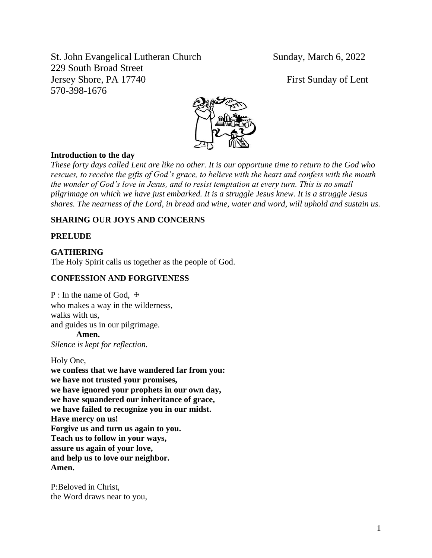St. John Evangelical Lutheran Church Sunday, March 6, 2022 229 South Broad Street Jersey Shore, PA 17740 First Sunday of Lent 570-398-1676



### **Introduction to the day**

*These forty days called Lent are like no other. It is our opportune time to return to the God who rescues, to receive the gifts of God's grace, to believe with the heart and confess with the mouth the wonder of God's love in Jesus, and to resist temptation at every turn. This is no small pilgrimage on which we have just embarked. It is a struggle Jesus knew. It is a struggle Jesus shares. The nearness of the Lord, in bread and wine, water and word, will uphold and sustain us.*

# **SHARING OUR JOYS AND CONCERNS**

### **PRELUDE**

# **GATHERING**

The Holy Spirit calls us together as the people of God.

### **CONFESSION AND FORGIVENESS**

P : In the name of God,  $\pm$ who makes a way in the wilderness, walks with us, and guides us in our pilgrimage. **Amen.**

*Silence is kept for reflection.*

Holy One, **we confess that we have wandered far from you: we have not trusted your promises, we have ignored your prophets in our own day, we have squandered our inheritance of grace, we have failed to recognize you in our midst. Have mercy on us! Forgive us and turn us again to you. Teach us to follow in your ways, assure us again of your love, and help us to love our neighbor. Amen.**

P:Beloved in Christ, the Word draws near to you,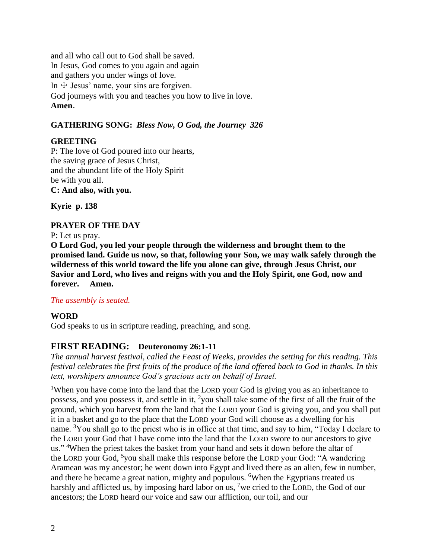and all who call out to God shall be saved. In Jesus, God comes to you again and again and gathers you under wings of love. In  $\pm$  Jesus' name, your sins are forgiven. God journeys with you and teaches you how to live in love. **Amen.**

# **GATHERING SONG:** *Bless Now, O God, the Journey 326*

# **GREETING**

P: The love of God poured into our hearts, the saving grace of Jesus Christ, and the abundant life of the Holy Spirit be with you all. **C: And also, with you.**

**Kyrie p. 138**

# **PRAYER OF THE DAY**

P: Let us pray.

**O Lord God, you led your people through the wilderness and brought them to the promised land. Guide us now, so that, following your Son, we may walk safely through the wilderness of this world toward the life you alone can give, through Jesus Christ, our Savior and Lord, who lives and reigns with you and the Holy Spirit, one God, now and forever. Amen.**

# *The assembly is seated.*

# **WORD**

God speaks to us in scripture reading, preaching, and song.

# **FIRST READING: Deuteronomy 26:1-11**

*The annual harvest festival, called the Feast of Weeks, provides the setting for this reading. This festival celebrates the first fruits of the produce of the land offered back to God in thanks. In this text, worshipers announce God's gracious acts on behalf of Israel.*

<sup>1</sup>When you have come into the land that the LORD your God is giving you as an inheritance to possess, and you possess it, and settle in it, <sup>2</sup>you shall take some of the first of all the fruit of the ground, which you harvest from the land that the LORD your God is giving you, and you shall put it in a basket and go to the place that the LORD your God will choose as a dwelling for his name. <sup>3</sup>You shall go to the priest who is in office at that time, and say to him, "Today I declare to the LORD your God that I have come into the land that the LORD swore to our ancestors to give us." <sup>4</sup>When the priest takes the basket from your hand and sets it down before the altar of the LORD your God, <sup>5</sup>you shall make this response before the LORD your God: "A wandering Aramean was my ancestor; he went down into Egypt and lived there as an alien, few in number, and there he became a great nation, mighty and populous. <sup>6</sup>When the Egyptians treated us harshly and afflicted us, by imposing hard labor on us, <sup>7</sup>we cried to the LORD, the God of our ancestors; the LORD heard our voice and saw our affliction, our toil, and our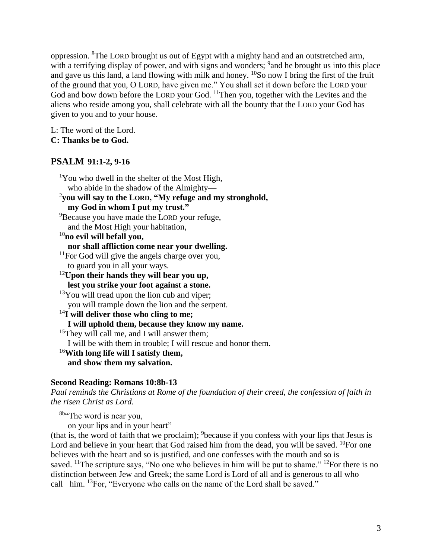oppression. <sup>8</sup>The LORD brought us out of Egypt with a mighty hand and an outstretched arm, with a terrifying display of power, and with signs and wonders;  $9$  and he brought us into this place and gave us this land, a land flowing with milk and honey. <sup>10</sup>So now I bring the first of the fruit of the ground that you, O LORD, have given me." You shall set it down before the LORD your God and bow down before the LORD your God. <sup>11</sup>Then you, together with the Levites and the aliens who reside among you, shall celebrate with all the bounty that the LORD your God has given to you and to your house.

L: The word of the Lord. **C: Thanks be to God.**

# **PSALM 91:1-2, 9-16**

<sup>1</sup>You who dwell in the shelter of the Most High, who abide in the shadow of the Almighty— 2 **you will say to the LORD, "My refuge and my stronghold, my God in whom I put my trust."** <sup>9</sup>Because you have made the LORD your refuge, and the Most High your habitation, <sup>10</sup>**no evil will befall you, nor shall affliction come near your dwelling.**  $11$ For God will give the angels charge over you, to guard you in all your ways. <sup>12</sup>**Upon their hands they will bear you up, lest you strike your foot against a stone.**  $13$ You will tread upon the lion cub and viper; you will trample down the lion and the serpent. <sup>14</sup>**I will deliver those who cling to me; I will uphold them, because they know my name.** <sup>15</sup>They will call me, and I will answer them; I will be with them in trouble; I will rescue and honor them. <sup>16</sup>**With long life will I satisfy them, and show them my salvation.**

#### **Second Reading: Romans 10:8b-13**

*Paul reminds the Christians at Rome of the foundation of their creed, the confession of faith in the risen Christ as Lord.*

<sup>8b"</sup>The word is near you,

on your lips and in your heart"

(that is, the word of faith that we proclaim); 9 because if you confess with your lips that Jesus is Lord and believe in your heart that God raised him from the dead, you will be saved.  $^{10}$ For one believes with the heart and so is justified, and one confesses with the mouth and so is saved. <sup>11</sup>The scripture says, "No one who believes in him will be put to shame." <sup>12</sup>For there is no distinction between Jew and Greek; the same Lord is Lord of all and is generous to all who call him. <sup>13</sup>For, "Everyone who calls on the name of the Lord shall be saved."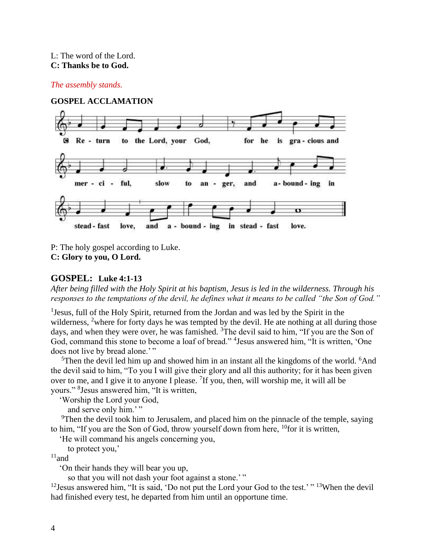#### L: The word of the Lord. **C: Thanks be to God.**

#### *The assembly stands.*





P: The holy gospel according to Luke. **C: Glory to you, O Lord.**

### **GOSPEL: Luke 4:1-13**

*After being filled with the Holy Spirit at his baptism, Jesus is led in the wilderness. Through his responses to the temptations of the devil, he defines what it means to be called "the Son of God."*

<sup>1</sup> Jesus, full of the Holy Spirit, returned from the Jordan and was led by the Spirit in the wilderness, <sup>2</sup>where for forty days he was tempted by the devil. He ate nothing at all during those days, and when they were over, he was famished. <sup>3</sup>The devil said to him, "If you are the Son of God, command this stone to become a loaf of bread." <sup>4</sup> Jesus answered him, "It is written, 'One does not live by bread alone.'"

 $5$ Then the devil led him up and showed him in an instant all the kingdoms of the world.  $6$ And the devil said to him, "To you I will give their glory and all this authority; for it has been given over to me, and I give it to anyone I please. <sup>7</sup>If you, then, will worship me, it will all be yours." <sup>8</sup> Jesus answered him, "It is written,

'Worship the Lord your God,

and serve only him.'"

 $\rm{P}$ Then the devil took him to Jerusalem, and placed him on the pinnacle of the temple, saying to him, "If you are the Son of God, throw yourself down from here,  $^{10}$  for it is written,

'He will command his angels concerning you,

to protect you,'

 $11$ and

'On their hands they will bear you up,

so that you will not dash your foot against a stone.'"

<sup>12</sup> Jesus answered him, "It is said, 'Do not put the Lord your God to the test.'  $\cdot$ " <sup>13</sup>When the devil had finished every test, he departed from him until an opportune time.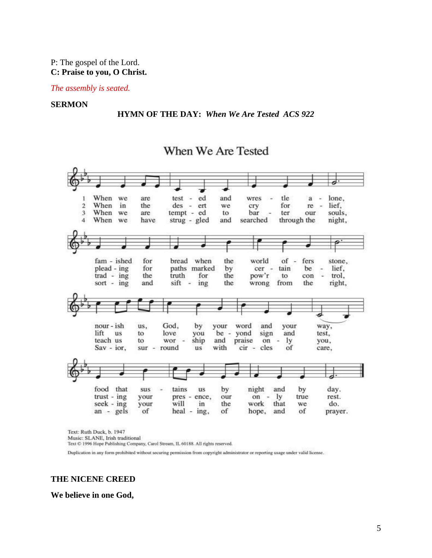### P: The gospel of the Lord. **C: Praise to you, O Christ.**

#### *The assembly is seated.*

#### **SERMON**

#### **HYMN OF THE DAY:** *When We Are Tested ACS 922*

# When We Are Tested



Text: Ruth Duck, b. 1947

Music: SLANE, Irish traditional

Text © 1996 Hope Publishing Company, Carol Stream, IL 60188. All rights reserved.

Duplication in any form prohibited without securing permission from copyright administrator or reporting usage under valid license.

#### **THE NICENE CREED**

**We believe in one God,**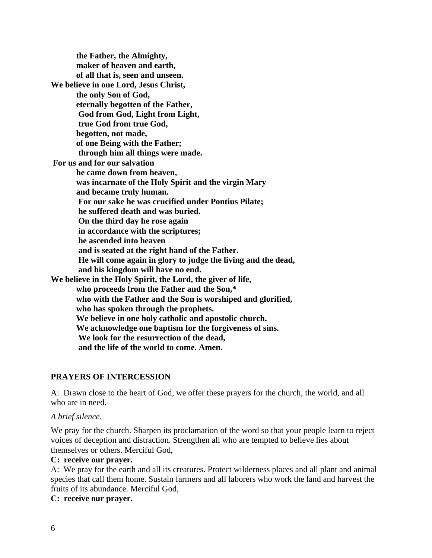**the Father, the Almighty, maker of heaven and earth, of all that is, seen and unseen. We believe in one Lord, Jesus Christ, the only Son of God, eternally begotten of the Father, God from God, Light from Light, true God from true God, begotten, not made, of one Being with the Father; through him all things were made. For us and for our salvation he came down from heaven, was incarnate of the Holy Spirit and the virgin Mary and became truly human. For our sake he was crucified under Pontius Pilate; he suffered death and was buried. On the third day he rose again in accordance with the scriptures; he ascended into heaven and is seated at the right hand of the Father. He will come again in glory to judge the living and the dead, and his kingdom will have no end. We believe in the Holy Spirit, the Lord, the giver of life, who proceeds from the Father and the Son,\* who with the Father and the Son is worshiped and glorified, who has spoken through the prophets. We believe in one holy catholic and apostolic church. We acknowledge one baptism for the forgiveness of sins. We look for the resurrection of the dead, and the life of the world to come. Amen.** 

# **PRAYERS OF INTERCESSION**

A: Drawn close to the heart of God, we offer these prayers for the church, the world, and all who are in need.

# *A brief silence.*

We pray for the church. Sharpen its proclamation of the word so that your people learn to reject voices of deception and distraction. Strengthen all who are tempted to believe lies about themselves or others. Merciful God,

#### **C: receive our prayer.**

A: We pray for the earth and all its creatures. Protect wilderness places and all plant and animal species that call them home. Sustain farmers and all laborers who work the land and harvest the fruits of its abundance. Merciful God,

#### **C: receive our prayer.**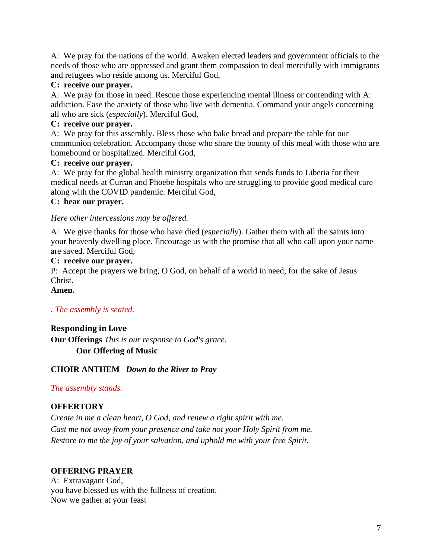A: We pray for the nations of the world. Awaken elected leaders and government officials to the needs of those who are oppressed and grant them compassion to deal mercifully with immigrants and refugees who reside among us. Merciful God,

# **C: receive our prayer.**

A: We pray for those in need. Rescue those experiencing mental illness or contending with A: addiction. Ease the anxiety of those who live with dementia. Command your angels concerning all who are sick (*especially*). Merciful God,

# **C: receive our prayer.**

A: We pray for this assembly. Bless those who bake bread and prepare the table for our communion celebration. Accompany those who share the bounty of this meal with those who are homebound or hospitalized. Merciful God,

# **C: receive our prayer.**

A: We pray for the global health ministry organization that sends funds to Liberia for their medical needs at Curran and Phoebe hospitals who are struggling to provide good medical care along with the COVID pandemic. Merciful God,

# **C: hear our prayer.**

# *Here other intercessions may be offered.*

A: We give thanks for those who have died (*especially*). Gather them with all the saints into your heavenly dwelling place. Encourage us with the promise that all who call upon your name are saved. Merciful God,

# **C: receive our prayer.**

P: Accept the prayers we bring, O God, on behalf of a world in need, for the sake of Jesus Christ.

# **Amen.**

# . *The assembly is seated.*

**Responding in Love Our Offerings** *This is our response to God's grace.* **Our Offering of Music** 

# **CHOIR ANTHEM** *Down to the River to Pray*

# *The assembly stands.*

# **OFFERTORY**

*Create in me a clean heart, O God, and renew a right spirit with me. Cast me not away from your presence and take not your Holy Spirit from me. Restore to me the joy of your salvation, and uphold me with your free Spirit.*

# **OFFERING PRAYER**

A: Extravagant God, you have blessed us with the fullness of creation. Now we gather at your feast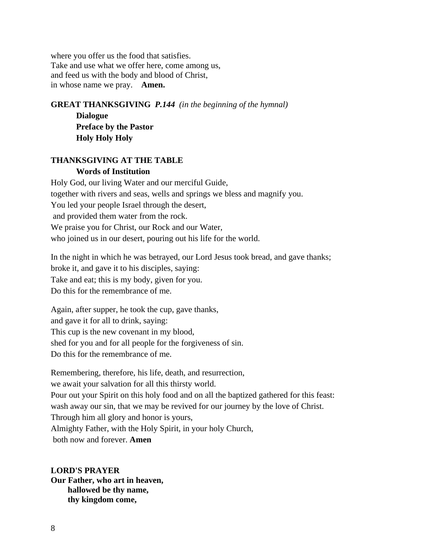where you offer us the food that satisfies. Take and use what we offer here, come among us, and feed us with the body and blood of Christ, in whose name we pray. **Amen.**

#### **GREAT THANKSGIVING** *P.144 (in the beginning of the hymnal)*

**Dialogue Preface by the Pastor Holy Holy Holy**

#### **THANKSGIVING AT THE TABLE Words of Institution**

Holy God, our living Water and our merciful Guide, together with rivers and seas, wells and springs we bless and magnify you. You led your people Israel through the desert, and provided them water from the rock. We praise you for Christ, our Rock and our Water, who joined us in our desert, pouring out his life for the world.

In the night in which he was betrayed, our Lord Jesus took bread, and gave thanks; broke it, and gave it to his disciples, saying: Take and eat; this is my body, given for you. Do this for the remembrance of me.

Again, after supper, he took the cup, gave thanks, and gave it for all to drink, saying: This cup is the new covenant in my blood, shed for you and for all people for the forgiveness of sin. Do this for the remembrance of me.

Remembering, therefore, his life, death, and resurrection, we await your salvation for all this thirsty world. Pour out your Spirit on this holy food and on all the baptized gathered for this feast: wash away our sin, that we may be revived for our journey by the love of Christ. Through him all glory and honor is yours, Almighty Father, with the Holy Spirit, in your holy Church, both now and forever. **Amen**

**LORD'S PRAYER Our Father, who art in heaven, hallowed be thy name, thy kingdom come,**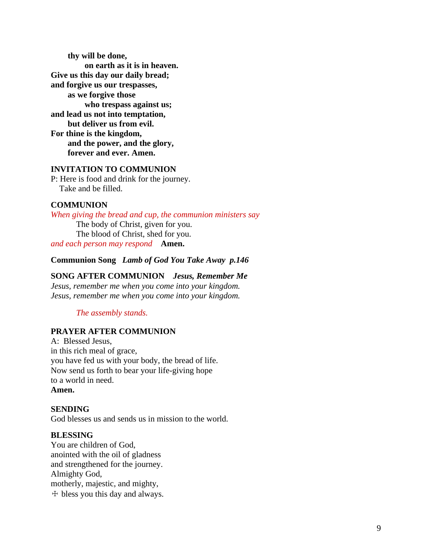**thy will be done, on earth as it is in heaven. Give us this day our daily bread; and forgive us our trespasses, as we forgive those who trespass against us; and lead us not into temptation, but deliver us from evil. For thine is the kingdom, and the power, and the glory, forever and ever. Amen.**

#### **INVITATION TO COMMUNION**

P: Here is food and drink for the journey. Take and be filled.

#### **COMMUNION**

*When giving the bread and cup, the communion ministers say* The body of Christ, given for you. The blood of Christ, shed for you. *and each person may respond* **Amen.**

**Communion Song** *Lamb of God You Take Away p.146*

# **SONG AFTER COMMUNION** *Jesus, Remember Me*

*Jesus, remember me when you come into your kingdom. Jesus, remember me when you come into your kingdom.*

#### *The assembly stands.*

# **PRAYER AFTER COMMUNION**

A: Blessed Jesus, in this rich meal of grace, you have fed us with your body, the bread of life. Now send us forth to bear your life-giving hope to a world in need. **Amen.**

#### **SENDING**

God blesses us and sends us in mission to the world.

#### **BLESSING**

You are children of God, anointed with the oil of gladness and strengthened for the journey. Almighty God, motherly, majestic, and mighty, ☩ bless you this day and always.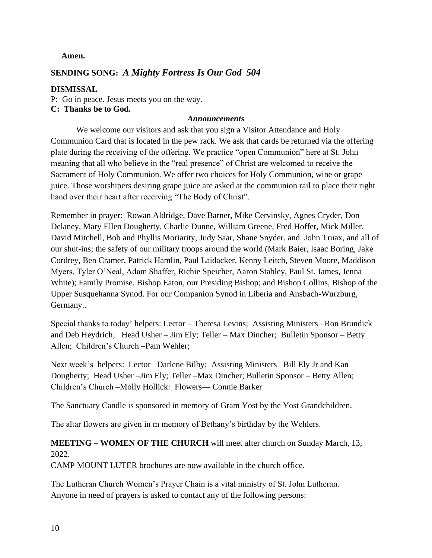#### **Amen.**

# **SENDING SONG:** *A Mighty Fortress Is Our God 504*

### **DISMISSAL**

P: Go in peace. Jesus meets you on the way.

# **C: Thanks be to God.**

### *Announcements*

We welcome our visitors and ask that you sign a Visitor Attendance and Holy Communion Card that is located in the pew rack. We ask that cards be returned via the offering plate during the receiving of the offering. We practice "open Communion" here at St. John meaning that all who believe in the "real presence" of Christ are welcomed to receive the Sacrament of Holy Communion. We offer two choices for Holy Communion, wine or grape juice. Those worshipers desiring grape juice are asked at the communion rail to place their right hand over their heart after receiving "The Body of Christ".

Remember in prayer: Rowan Aldridge, Dave Barner, Mike Cervinsky, Agnes Cryder, Don Delaney, Mary Ellen Dougherty, Charlie Dunne, William Greene, Fred Hoffer, Mick Miller, David Mitchell, Bob and Phyllis Moriarity, Judy Saar, Shane Snyder. and John Truax, and all of our shut-ins; the safety of our military troops around the world (Mark Baier, Isaac Boring, Jake Cordrey, Ben Cramer, Patrick Hamlin, Paul Laidacker, Kenny Leitch, Steven Moore, Maddison Myers, Tyler O'Neal, Adam Shaffer, Richie Speicher, Aaron Stabley, Paul St. James, Jenna White); Family Promise. Bishop Eaton, our Presiding Bishop; and Bishop Collins, Bishop of the Upper Susquehanna Synod. For our Companion Synod in Liberia and Ansbach-Wurzburg, Germany..

Special thanks to today' helpers: Lector – Theresa Levins; Assisting Ministers –Ron Brundick and Deb Heydrich; Head Usher – Jim Ely; Teller – Max Dincher; Bulletin Sponsor – Betty Allen; Children's Church –Pam Wehler;

Next week's helpers: Lector –Darlene Bilby; Assisting Ministers –Bill Ely Jr and Kan Dougherty; Head Usher –Jim Ely; Teller –Max Dincher; Bulletin Sponsor – Betty Allen; Children's Church –Molly Hollick: Flowers— Connie Barker

The Sanctuary Candle is sponsored in memory of Gram Yost by the Yost Grandchildren.

The altar flowers are given in m memory of Bethany's birthday by the Wehlers.

# **MEETING – WOMEN OF THE CHURCH** will meet after church on Sunday March, 13, 2022.

CAMP MOUNT LUTER brochures are now available in the church office.

The Lutheran Church Women's Prayer Chain is a vital ministry of St. John Lutheran. Anyone in need of prayers is asked to contact any of the following persons: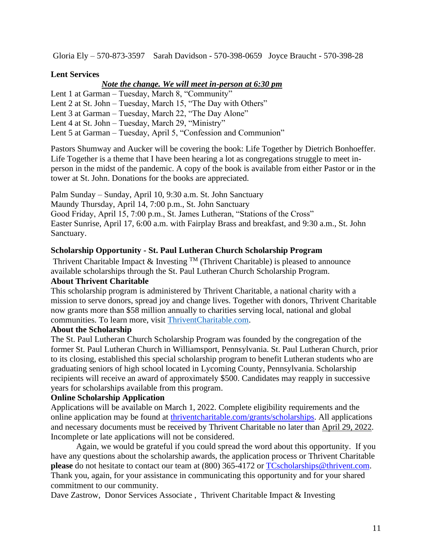Gloria Ely – 570-873-3597 Sarah Davidson - 570-398-0659 Joyce Braucht - 570-398-28

### **Lent Services**

#### *Note the change. We will meet in-person at 6:30 pm*

Lent 1 at Garman – Tuesday, March 8, "Community"

Lent 2 at St. John – Tuesday, March 15, "The Day with Others"

Lent 3 at Garman – Tuesday, March 22, "The Day Alone"

Lent 4 at St. John – Tuesday, March 29, "Ministry"

Lent 5 at Garman – Tuesday, April 5, "Confession and Communion"

Pastors Shumway and Aucker will be covering the book: Life Together by Dietrich Bonhoeffer. Life Together is a theme that I have been hearing a lot as congregations struggle to meet inperson in the midst of the pandemic. A copy of the book is available from either Pastor or in the tower at St. John. Donations for the books are appreciated.

Palm Sunday – Sunday, April 10, 9:30 a.m. St. John Sanctuary Maundy Thursday, April 14, 7:00 p.m., St. John Sanctuary Good Friday, April 15, 7:00 p.m., St. James Lutheran, "Stations of the Cross" Easter Sunrise, April 17, 6:00 a.m. with Fairplay Brass and breakfast, and 9:30 a.m., St. John Sanctuary.

# **Scholarship Opportunity - St. Paul Lutheran Church Scholarship Program**

Thrivent Charitable Impact & Investing  $TM$  (Thrivent Charitable) is pleased to announce available scholarships through the St. Paul Lutheran Church Scholarship Program.

# **About Thrivent Charitable**

This scholarship program is administered by Thrivent Charitable, a national charity with a mission to serve donors, spread joy and change lives. Together with donors, Thrivent Charitable now grants more than \$58 million annually to charities serving local, national and global communities. To learn more, visit [ThriventCharitable.com.](about:blank)

#### **About the Scholarship**

The St. Paul Lutheran Church Scholarship Program was founded by the congregation of the former St. Paul Lutheran Church in Williamsport, Pennsylvania. St. Paul Lutheran Church, prior to its closing, established this special scholarship program to benefit Lutheran students who are graduating seniors of high school located in Lycoming County, Pennsylvania. Scholarship recipients will receive an award of approximately \$500. Candidates may reapply in successive years for scholarships available from this program.

#### **Online Scholarship Application**

Applications will be available on March 1, 2022. Complete eligibility requirements and the online application may be found at [thriventcharitable.com/grants/scholarships.](about:blank) All applications and necessary documents must be received by Thrivent Charitable no later than April 29, 2022. Incomplete or late applications will not be considered.

Again, we would be grateful if you could spread the word about this opportunity. If you have any questions about the scholarship awards, the application process or Thrivent Charitable **please** do not hesitate to contact our team at (800) 365-4172 or [TCscholarships@thrivent.com.](about:blank) Thank you, again, for your assistance in communicating this opportunity and for your shared commitment to our community.

Dave Zastrow, Donor Services Associate , Thrivent Charitable Impact & Investing